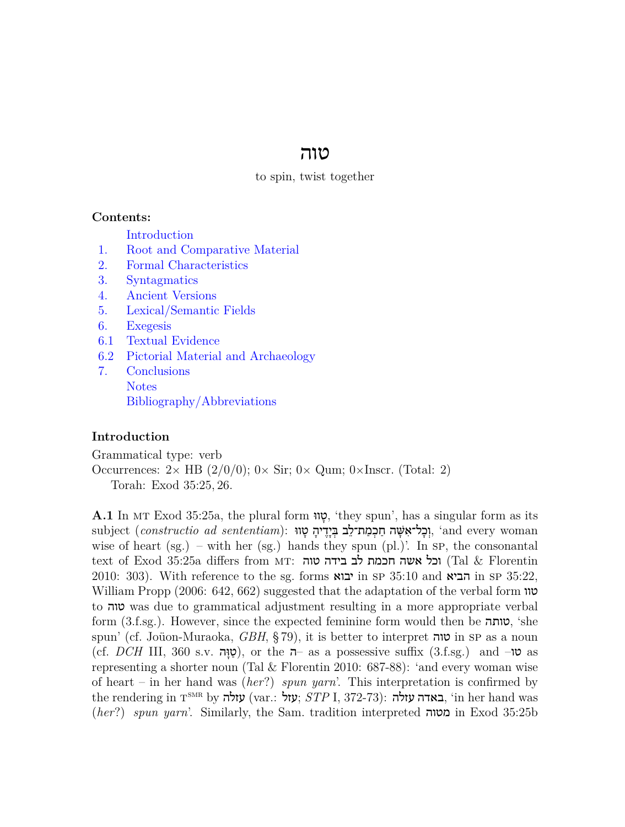# טוה

#### to spin, twist together

#### **Contents:**

[Introduction](#page-0-0)

- [1.](#page-1-0) [Root and Comparative Material](#page-1-0)
- [2.](#page-2-0) [Formal Characteristics](#page-2-0)
- [3.](#page-2-1) [Syntagmatics](#page-2-1)
- [4.](#page-2-2) [Ancient Versions](#page-2-2)
- [5.](#page-3-0) [Lexical/Semantic Fields](#page-3-0)
- [6.](#page-3-1) [Exegesis](#page-3-1)
- [6.1](#page-3-2) [Textual Evidence](#page-3-2)
- [6.2](#page-5-0) [Pictorial Material and Archaeology](#page-5-0)
- [7.](#page-5-1) [Conclusions](#page-5-1) [Notes](#page-5-2) [Bibliography/Abbreviations](#page-5-3)

### <span id="page-0-0"></span>**Introduction**

Grammatical type: verb Occurrences: 2*<sup>×</sup>* HB (2/0/0); 0*<sup>×</sup>* Sir; 0*<sup>×</sup>* Qum; 0*×*Inscr. (Total: 2) Torah: Exod 35:25, 26.

<span id="page-0-1"></span>**A.1** In mt Exod 35:25a, the plural form ווּ ָט,' they spun', has a singular form as its subject (*constructio ad sententiam*): וְכָל־אִשָּׁה חַכְמַת־לֵב בְּיָדִיהָ טָוּוּ, ʿand every woman wise of heart (sg.) – with her (sg.) hands they spun (pl.)'. In  $SP$ , the consonantal  $\textrm{text of Exod 35:25a differs from MT:}$ וכל אשה חכמת לב בידה טוה (Tal  $\&$  Florentin 2010: 303). With reference to the sg. forms הביא in sp 35:10 and הביא in sp 35:22, William Propp (2006: 642, 662) suggested that the adaptation of the verbal form טוו to טוה was due to grammatical adjustment resulting in a more appropriate verbal form (3.f.sg.). However, since the expected feminine form would then be **טותה**, 'she spun' (cf. Joüon-Muraoka, *GBH*, § 79), it is better to interpret טוה in sp as a noun (cf. *DCH* III, 360 s.v. ה ָוּ ַט(, or the ה –as a possessive suffix (3.f.sg.) and –טו as representing a shorter noun (Tal & Florentin 2010: 687-88): 'and every woman wise of heart – in her hand was (*her*?) *spun yarn*'. This interpretation is confirmed by the rendering in  $\tau^\text{\tiny{SMR}}$  by עזלה) (var.: עזל, 372-73): עזלה, 'in her hand was (*her*?) *spun yarn*'. Similarly, the Sam. tradition interpreted מטוה in Exod 35:25b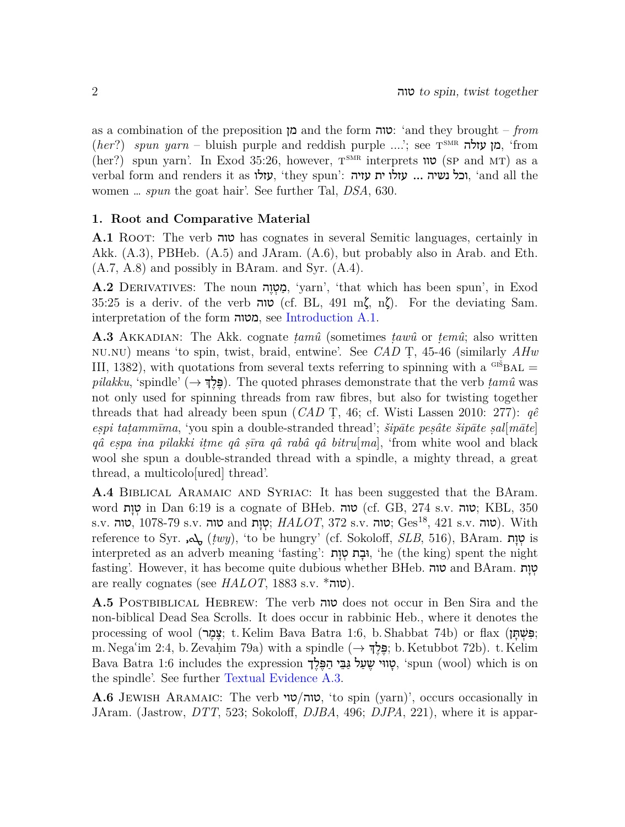as a combination of the preposition מן and the form טוה:' and they brought – *from (her?) spun yarn* – bluish purple and reddish purple ....'; see n<sup>smR</sup> מן עזלה, 'from  $(her?)$  spun yarn'. In Exod 35:26, however,  $T^{SMR}$  interprets  $\mathbf{U}$  (sp and MT) as a verbal form and renders it as עזלו, 'they spun': עזלו ית עזיה, 'and all the women … *spun* the goat hair'. See further Tal, *DSA*, 630.

### <span id="page-1-0"></span>**1. Root and Comparative Material**

**A.1** Root: The verb טוה has cognates in several Semitic languages, certainly in Akk. (A.3), PBHeb. (A.5) and JAram. (A.6), but probably also in Arab. and Eth. (A.7, A.8) and possibly in BAram. and Syr. (A.4).

**A.2** DERIVATIVES: The noun הָמָטְוָה, 'yarn', 'that which has been spun', in Exod 35:25 is a deriv. of the verb טוה) cf. BL, 491 mζ, nζ). For the deviating Sam. interpretation of the form מטוה, see [Introduction A.1](#page-0-1).

<span id="page-1-2"></span>**A.3** Akkadian: The Akk. cognate *ṭamû* (sometimes *ṭawû* or *ṭemû*; also written nu.nu) means 'to spin, twist, braid, entwine'. See *CAD* Ṭ, 45-46 (similarly *AHw* III, 1382), with quotations from several texts referring to spinning with a  $\text{G}^{\text{S}}$ BAL = *pilakku*, 'spindle' (*→* ךְ ֶל ֶפּ(. The quoted phrases demonstrate that the verb *ṭamû* was not only used for spinning threads from raw fibres, but also for twisting together threads that had already been spun (*CAD* Ṭ, 46; cf. Wisti Lassen 2010: 277): *qê eṣpi taṭammīma*, 'you spin a double-stranded thread'; *šipāte peṣâte šipāte ṣal*[*māte*] *qâ eṣpa ina pilakki iṭme qâ ṣīra qâ rabâ qâ bitru*[*ma*], 'from white wool and black wool she spun a double-stranded thread with a spindle, a mighty thread, a great thread, a multicolo[ured] thread'.

**A.4** Biblical Aramaic and Syriac: It has been suggested that the BAram. word וּטוּת; in Dan 6:19 is a cognate of BHeb. טוה) (cf. GB, 274 s.v. טוה); KBL, 350  $\,$ s.v. טוה, 1078-79 s.v. טוה;  $HALOT$ , 372 s.v. טוה;  $\,$ Ges<sup>18</sup>, 421 s.v. טוה). With reference to Syr. مثل (*twy*), 'to be hungry' (cf. Sokoloff, *SLB*, 516), BAram. וֹטוֹת is interpreted as an adverb meaning 'fasting': גבָת טְוַת, 'he (the king) spent the night fasting'. However, it has become quite dubious whether BHeb. טוה and BAram. טוח are really cognates (see  $HALOT$ , 1883 s.v.  $*$ טוה).

<span id="page-1-1"></span>**A.5** Postbiblical Hebrew: The verb טוה does not occur in Ben Sira and the non-biblical Dead Sea Scrolls. It does occur in rabbinic Heb., where it denotes the processing of wool (צמר; t. Kelim Bava Batra 1:6, b. Shabbat 74b) or flax; m. Negaʿim 2:4, b. Zevaḥim 79a) with a spindle (*→* ךְ ֶל ֶפּ ;b. Ketubbot 72b). t. Kelim Bava Batra 1:6 includes the expression יָטָווּי שֵׁעַל גַּבֵּי הַפֵּלֵךְ, 'spun (wool) which is on the spindle'. See further [Textual Evidence A.3.](#page-4-0)

**A.6** Jewish Aramaic: The verb טוה/טוי, 'to spin (yarn)', occurs occasionally in JAram. (Jastrow, *DTT*, 523; Sokoloff, *DJBA*, 496; *DJPA*, 221), where it is appar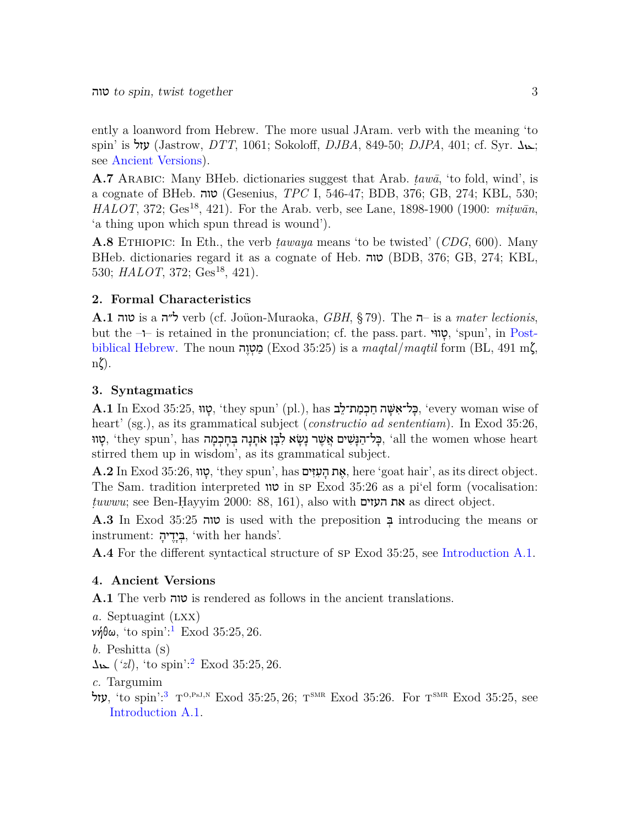ently a loanword from Hebrew. The more usual JAram. verb with the meaning 'to spin' is עזל) (Jastrow, *DTT*, 1061; Sokoloff, *DJBA*, 849-50; *DJPA*, 401; cf. Syr. גבול see [Ancient Versions](#page-2-2)).

**A.7** Arabic: Many BHeb. dictionaries suggest that Arab. *ṭawā*, 'to fold, wind', is a cognate of BHeb. טוה) Gesenius, *TPC* I, 546-47; BDB, 376; GB, 274; KBL, 530; *HALOT*, 372; Ges<sup>18</sup>, 421). For the Arab. verb, see Lane, 1898-1900 (1900: *mitwān*, 'a thing upon which spun thread is wound').

**A.8** Ethiopic: In Eth., the verb *ṭawaya* means 'to be twisted' (*CDG*, 600). Many BHeb. dictionaries regard it as a cognate of Heb. טוה) BDB, 376; GB, 274; KBL, 530; *HALOT*, 372; Ges<sup>18</sup>, 421).

# <span id="page-2-0"></span>**2. Formal Characteristics**

**A.1** טוה is a ל״ה verb (cf. Joüon-Muraoka, *GBH*, § 79). The ה –is a *mater lectionis*, but the  $-$ is retained in the pronunciation; cf. the pass. part. וְטוֹוּי, 'spun', in [Post](#page-1-1)[biblical Hebrew.](#page-1-1) The noun **הטוה** (Exod 35:25) is a *magtal/maqtil* form (BL, 491 m $\zeta$ , nζ).

# <span id="page-2-1"></span>**3. Syntagmatics**

of wise woman every ',כָּ ל־אִ שָּׁ ה חַ כְ מַ ת־לֵ ב has ,).pl' (spun they ',טָ ווּ 35:25, Exod In **.1A** heart' (sg.), as its grammatical subject (*constructio ad sententiam*). In Exod 35:26, ָטָווּ (they spun', has בְּחָכְמָה אִתָּנָה בְּחָכְמָה, 'all the women whose heart stirred them up in wisdom', as its grammatical subject.

 $\bf A.2$  In Exod  $35:26,$  יָטוּ, 'they spun', has אֶת הְעִזִּים, here 'goat hair', as its direct object. The Sam. tradition interpreted טוו in sp Exod 35:26 as a pi'el form (vocalisation: *ṭuwwu*; see Ben-Ḥayyim 2000: 88, 161), also with העזים את as direct object.

**A.3** In Exod 35:25 טוה is used with the preposition ְבּ introducing the means or .<br>הַיָּדֵיהָ, 'with her hands'.

**A.4** For the different syntactical structure of sp Exod 35:25, see [Introduction A.1](#page-0-1).

# <span id="page-2-2"></span>**4. Ancient Versions**

**A.1** The verb טוה is rendered as follows in the ancient translations.

<span id="page-2-5"></span><span id="page-2-4"></span><span id="page-2-3"></span>*a.* Septuagint (LXX)  $\nu$ ήθω, 'to spin':<sup>[1](#page-5-4)</sup> Exod 35:25, 26. *b.* Peshitta (s)  $\Delta\mathbf{k}$  (*'zl*), 'to spin':<sup>[2](#page-5-5)</sup> Exod 35:25, 26. *c.* Targumim עזל, 'to spin':<sup>[3](#page-5-6)</sup>  $T^{0,PsJ,N}$  Exod 35:25, 26;  $T^{SNR}$  Exod 35:26. For  $T^{SNR}$  Exod 35:25, see [Introduction A.1](#page-0-1).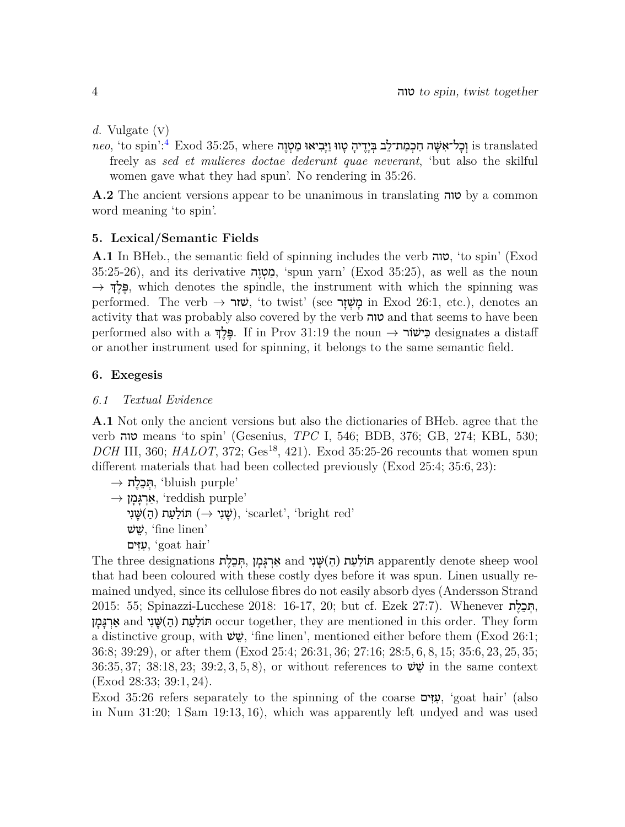*d.* Vulgate (v)

<span id="page-3-3"></span> $\it neo$ , 'to spin':<sup>[4](#page-5-7)</sup> Exod 35:25, where נְכָל־אָשָּׁה חַכְמַת־לֵב בְּיָדֵיהָ טָווּ וַיַּבְיאוּ מַטְוֶה is translated freely as *sed et mulieres doctae dederunt quae neverant*, 'but also the skilful women gave what they had spun'. No rendering in 35:26.

**A.2** The ancient versions appear to be unanimous in translating טוה by a common word meaning 'to spin'.

#### <span id="page-3-0"></span>**5. Lexical/Semantic Fields**

**A.1** In BHeb., the semantic field of spinning includes the verb טוה,' to spin' (Exod 35:25-26), and its derivative פְּטְוָה, 'spun yarn' (Exod 35:25), as well as the noun  $\rightarrow$  **שְּלַדְּ**, which denotes the spindle, the instrument with which the spinning was performed. The verb → שׂזר, 'to twist' (see **מש**זר) in Exod 26:1, etc.), denotes an activity that was probably also covered by the verb טוה and that seems to have been performed also with a ךְ ֶל ֶפּ. If in Prov 31:19 the noun *→* ישׁוֹר ִכּ designates a distaff or another instrument used for spinning, it belongs to the same semantic field.

#### <span id="page-3-1"></span>**6. Exegesis**

#### <span id="page-3-2"></span>*6.1 Textual Evidence*

**A.1** Not only the ancient versions but also the dictionaries of BHeb. agree that the verb טוה means 'to spin' (Gesenius, *TPC* I, 546; BDB, 376; GB, 274; KBL, 530; *DCH* III, 360; *HALOT*, 372; Ges<sup>18</sup>, 421). Exod 35:25-26 recounts that women spun different materials that had been collected previously (Exod 25:4; 35:6, 23):

 $\rightarrow$  אַר**ְגָּמָן ∗**, 'reddish purple' יִשָּׁנִי (הַ *יָשָׁנָי (→ 'שָׁנִי*), 'scarlet', 'bright red' שׁ $\psi$ , 'fine linen' 'hair goat ',עִ זִּ ים

The three designations תּוֹלַעַת (הַ)שָּׁנִי apparently denote sheep wool that had been coloured with these costly dyes before it was spun. Linen usually remained undyed, since its cellulose fibres do not easily absorb dyes (Andersson Strand 2015: 55; Spinazzi-Lucchese 2018: 16-17, 20; but cf. Ezek 27:7). Whenever ת ֶל ֵכ ְתּ, and תּוֹלַעַת (הַ)שָּׁנִי occur together, they are mentioned in this order. They form a distinctive group, with  $\psi$ , 'fine linen', mentioned either before them (Exod 26:1; 36:8; 39:29), or after them (Exod 25:4; 26:31, 36; 27:16; 28:5, 6, 8, 15; 35:6, 23, 25, 35; 36:35, 37; 38:18, 23; 39:2, 3, 5, 8), or without references to  $\psi$  in the same context (Exod 28:33; 39:1, 24).

Exod 35:26 refers separately to the spinning of the coarse **יְעזִים**, 'goat hair' (also in Num 31:20; 1 Sam 19:13, 16), which was apparently left undyed and was used

<sup>&#</sup>x27;purple bluish ',תְּ כֵ לֶ ת *→*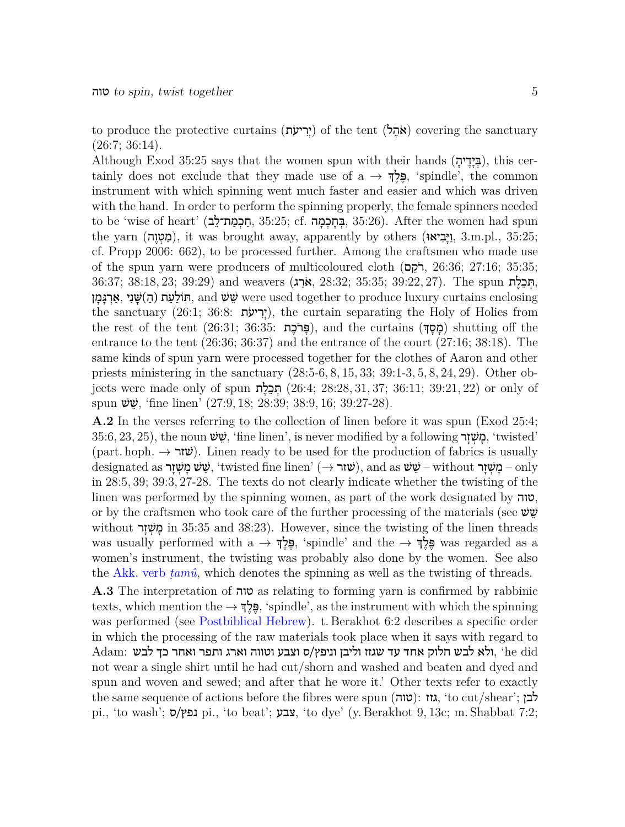to produce the protective curtains (אֵהֵל) of the tent (אִהֵל) covering the sanctuary  $(26:7; 36:14).$ 

Although Exod 35:25 says that the women spun with their hands (בְּיָדֵיה), this certainly does not exclude that they made use of a *→* ךְ ֶל ֶפּ,' spindle', the common instrument with which spinning went much faster and easier and which was driven with the hand. In order to perform the spinning properly, the female spinners needed  $t$ to be 'wise of heart' (בְּמַת־לָב, 35:25; cf. בְּחֵכְמַה, 35:26). After the women had spun the yarn (מַטְוֶה), it was brought away, apparently by others (יָבִיאוּ, 3.m.pl., 35:25; cf. Propp 2006: 662), to be processed further. Among the craftsmen who made use of the spun yarn were producers of multicoloured cloth (הֹקֶם, 26:36; 27:16; 35:35; ,תְּבֵלֶת The spun The .)36:37; 38:18, 23; 39:29) and weavers אֵרֵג), 38:32; 35:35; 39:22, 27). The spun פִעָר (הַ)שַּׁנִי, אֵרְגָּמַן, and שֵׁשׁ were used together to produce luxury curtains enclosing the sanctuary (26:1; 36:8: יִרְיעָׂת), the curtain separating the Holy of Holies from the rest of the tent (26:31; 36:35: פּרֹכָת), and the curtains (מסךּ) shutting off the entrance to the tent (26:36; 36:37) and the entrance of the court (27:16; 38:18). The same kinds of spun yarn were processed together for the clothes of Aaron and other priests ministering in the sanctuary (28:5-6, 8, 15, 33; 39:1-3, 5, 8, 24, 29). Other objects were made only of spun תְּבָלֶת (26:4; 28:28, 31, 37; 36:11; 39:21, 22) or only of spun  $\ddot{\psi}$ , 'fine linen' (27:9, 18; 28:39; 38:9, 16; 39:27-28).

<span id="page-4-1"></span>**A.2** In the verses referring to the collection of linen before it was spun (Exod 25:4; 35:6, 23, 25), the noun שָׁשׁ, 'fine linen', is never modified by a following רְאַיָּך, 'twisted' (part. hoph. → **ש**ׂ). Linen ready to be used for the production of fabrics is usually designated as שְׁ מֵשְׁ זָר (שׁ $\dot{\rm w}$  it wisted fine linen' (שׁ $\dot{\rm w}$  and as שֵׁ שֹׁ  $\rm -$  without  $\rm -g$ מַ in 28:5, 39; 39:3, 27-28. The texts do not clearly indicate whether the twisting of the linen was performed by the spinning women, as part of the work designated by טוה, or by the craftsmen who took care of the further processing of the materials (see  $\psi$ without בְּשָׁדָר in 35:35 and 38:23). However, since the twisting of the linen threads was usually performed with a *→* ךְ ֶל ֶפּ,' spindle' and the *→* ךְ ֶל ֶפּ was regarded as a women's instrument, the twisting was probably also done by the women. See also the [Akk. verb](#page-1-2) *ṭamû*, which denotes the spinning as well as the twisting of threads.

<span id="page-4-0"></span>**A.3** The interpretation of טוה as relating to forming yarn is confirmed by rabbinic texts, which mention the *→* ךְ ֶל ֶפּ,' spindle', as the instrument with which the spinning was performed (see [Postbiblical Hebrew](#page-1-1)). t. Berakhot 6:2 describes a specific order in which the processing of the raw materials took place when it says with regard to  $\rm{Adam}\colon$ ולא לבש חלוק אחד עד שגזז וליבן וניפץ/ס וצבע וטווה וארג ותפר ואחר כך לבש, ' $\rm{head}\:\rm{head}$ not wear a single shirt until he had cut/shorn and washed and beaten and dyed and spun and woven and sewed; and after that he wore it.' Other texts refer to exactly the same sequence of actions before the fibres were spun (גזז, 'to cut/shear'; לבן pi., 'to wash'; ס $\alpha$ !, 'to beat'; צבע, 'to dye' (y. Berakhot 9, 13c; m. Shabbat 7:2;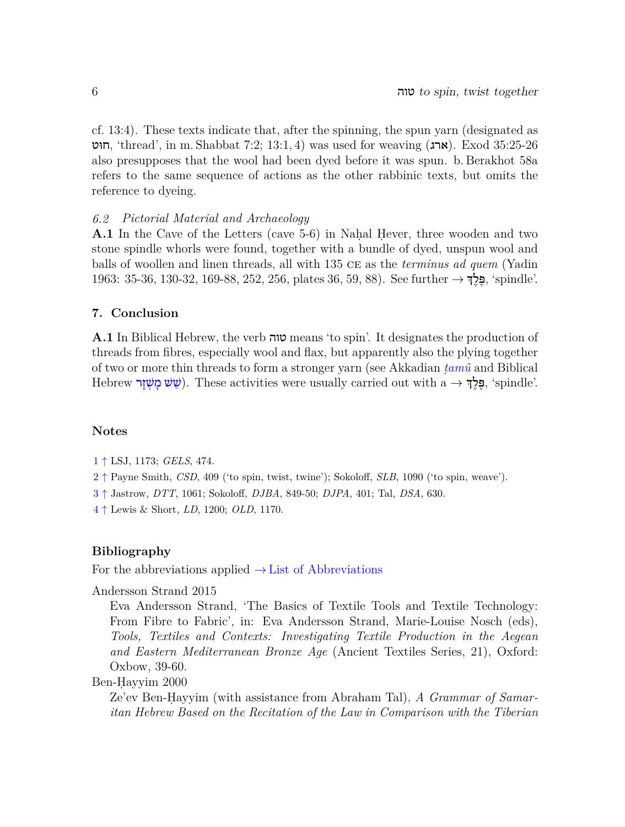cf. 13:4). These texts indicate that, after the spinning, the spun yarn (designated as חוּט, 'thread', in m. Shabbat 7:2; 13:1, 4) was used for weaving (ארג). Exod 35:25-26 also presupposes that the wool had been dyed before it was spun. b. Berakhot 58a refers to the same sequence of actions as the other rabbinic texts, but omits the reference to dyeing.

#### <span id="page-5-0"></span>*6.2 Pictorial Material and Archaeology*

**A.1** In the Cave of the Letters (cave 5-6) in Nahal Hever, three wooden and two stone spindle whorls were found, together with a bundle of dyed, unspun wool and balls of woollen and linen threads, all with 135 ce as the *terminus ad quem* (Yadin 1963: 35-36, 130-32, 169-88, 252, 256, plates 36, 59, 88). See further *→* ךְ ֶל ֶפּ,' spindle'.

#### <span id="page-5-1"></span>**7. Conclusion**

**A.1** In Biblical Hebrew, the verb טוה means 'to spin'. It designates the production of threads from fibres, especially wool and flax, but apparently also the plying together of two or more thin threads to form a stronger yarn (see Akkadian *[ṭamû](#page-1-2)* and Biblical Hebrew **ָפֶּלֶדְּ**, 'spindle'. لِعَلامِ اللهُ إِلاَّ بِهِجْ $\,$ , 'spindle'.

#### <span id="page-5-2"></span>**Notes**

- <span id="page-5-5"></span><span id="page-5-4"></span>[1](#page-2-3) *↑* LSJ, 1173; *GELS*, 474.
- <span id="page-5-6"></span>[2](#page-2-4) *↑* Payne Smith, *CSD*, 409 ('to spin, twist, twine'); Sokoloff, *SLB*, 1090 ('to spin, weave').
- [3](#page-2-5) *↑* Jastrow, *DTT*, 1061; Sokoloff, *DJBA*, 849-50; *DJPA*, 401; Tal, *DSA*, 630.
- <span id="page-5-7"></span>[4](#page-3-3) *↑* Lewis & Short, *LD*, 1200; *OLD*, 1170.

#### <span id="page-5-3"></span>**Bibliography**

For the abbreviations applied *→* List of Abbreviations

Andersson Strand 2015

Eva Andersson Strand, 'The Basics of Textile Tools and Textile Technology: From Fibre to Fabric', in: Eva Andersson Strand, Marie-Louise Nosch (eds), *Tools, Textiles and Contexts: Investigating Textile Production in the Aegean and Eastern Mediterranean Bronze Age* (Ancient Textiles Series, 21), Oxford: Oxbow, 39-60.

Ben-Ḥayyim 2000

Ze'ev Ben-Ḥayyim (with assistance from Abraham Tal), *A Grammar of Samaritan Hebrew Based on the Recitation of the Law in Comparison with the Tiberian*